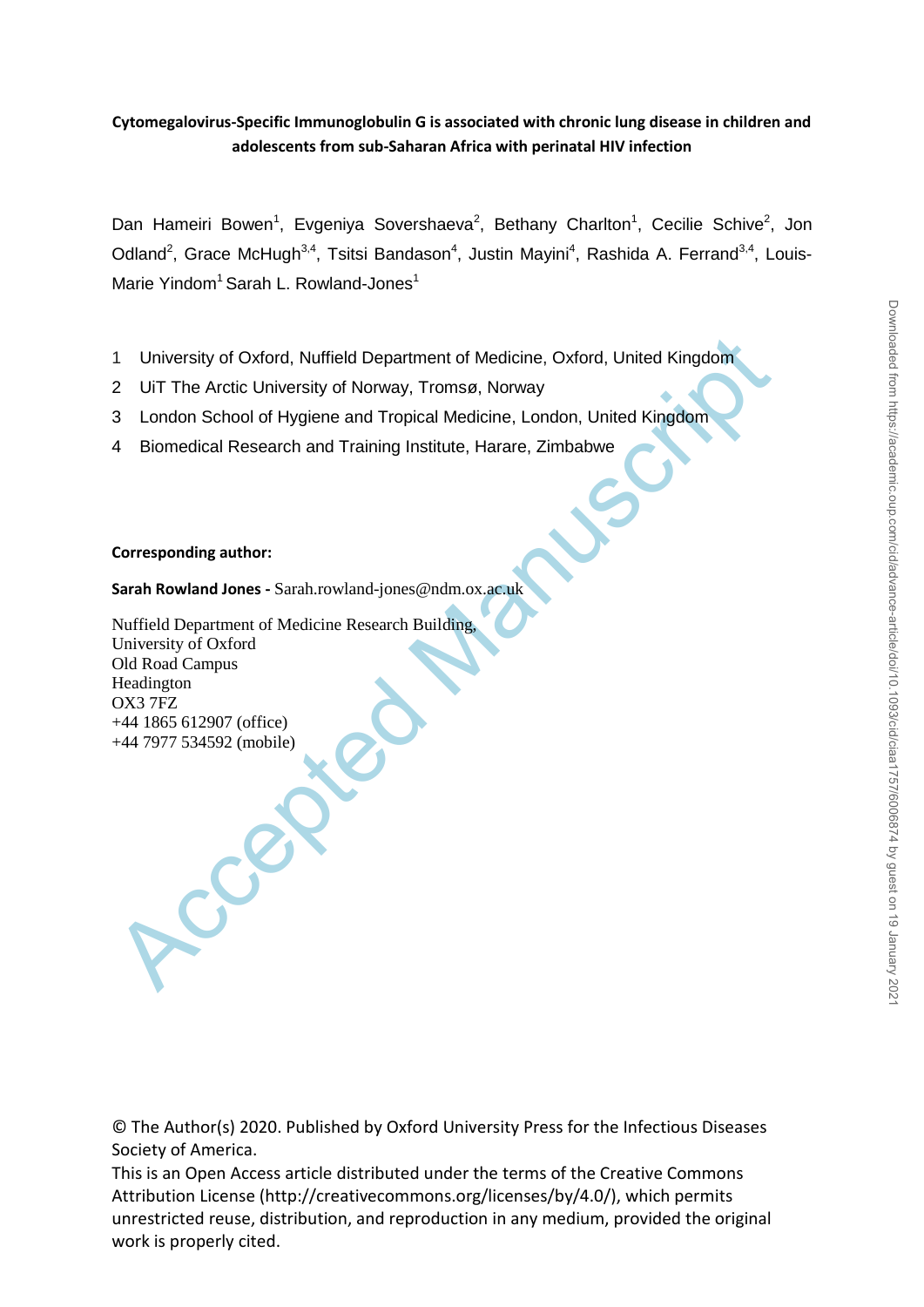# **Cytomegalovirus-Specific Immunoglobulin G is associated with chronic lung disease in children and adolescents from sub-Saharan Africa with perinatal HIV infection**

Dan Hameiri Bowen<sup>1</sup>, Evgeniya Sovershaeva<sup>2</sup>, Bethany Charlton<sup>1</sup>, Cecilie Schive<sup>2</sup>, Jon Odland<sup>2</sup>, Grace McHugh<sup>3,4</sup>, Tsitsi Bandason<sup>4</sup>, Justin Mayini<sup>4</sup>, Rashida A. Ferrand<sup>3,4</sup>, Louis-Marie Yindom<sup>1</sup> Sarah L. Rowland-Jones<sup>1</sup>

- 1 University of Oxford, Nuffield Department of Medicine, Oxford, United Kingdom
- 2 UiT The Arctic University of Norway, Tromsø, Norway
- 3 London School of Hygiene and Tropical Medicine, London, United Kingdom
- 4 Biomedical Research and Training Institute, Harare, Zimbabwe

## **Corresponding author:**

**Sarah Rowland Jones -** Sarah.rowland-jones@ndm.ox.ac.uk

1 University of Oxford, Nuffield Department of Medicine, Oxford, United Kingdom<br>
2 UIT The Arctic University of Norway, Tromsø, Norway<br>
3 London School of Hygiene and Tropical Medicine, London, United Kingdom<br>
4 Biomedical Nuffield Department of Medicine Research Building, University of Oxford Old Road Campus Headington OX3 7FZ +44 1865 612907 (office) +44 7977 534592 (mobile)

© The Author(s) 2020. Published by Oxford University Press for the Infectious Diseases Society of America.

This is an Open Access article distributed under the terms of the Creative Commons Attribution License (http://creativecommons.org/licenses/by/4.0/), which permits unrestricted reuse, distribution, and reproduction in any medium, provided the original work is properly cited.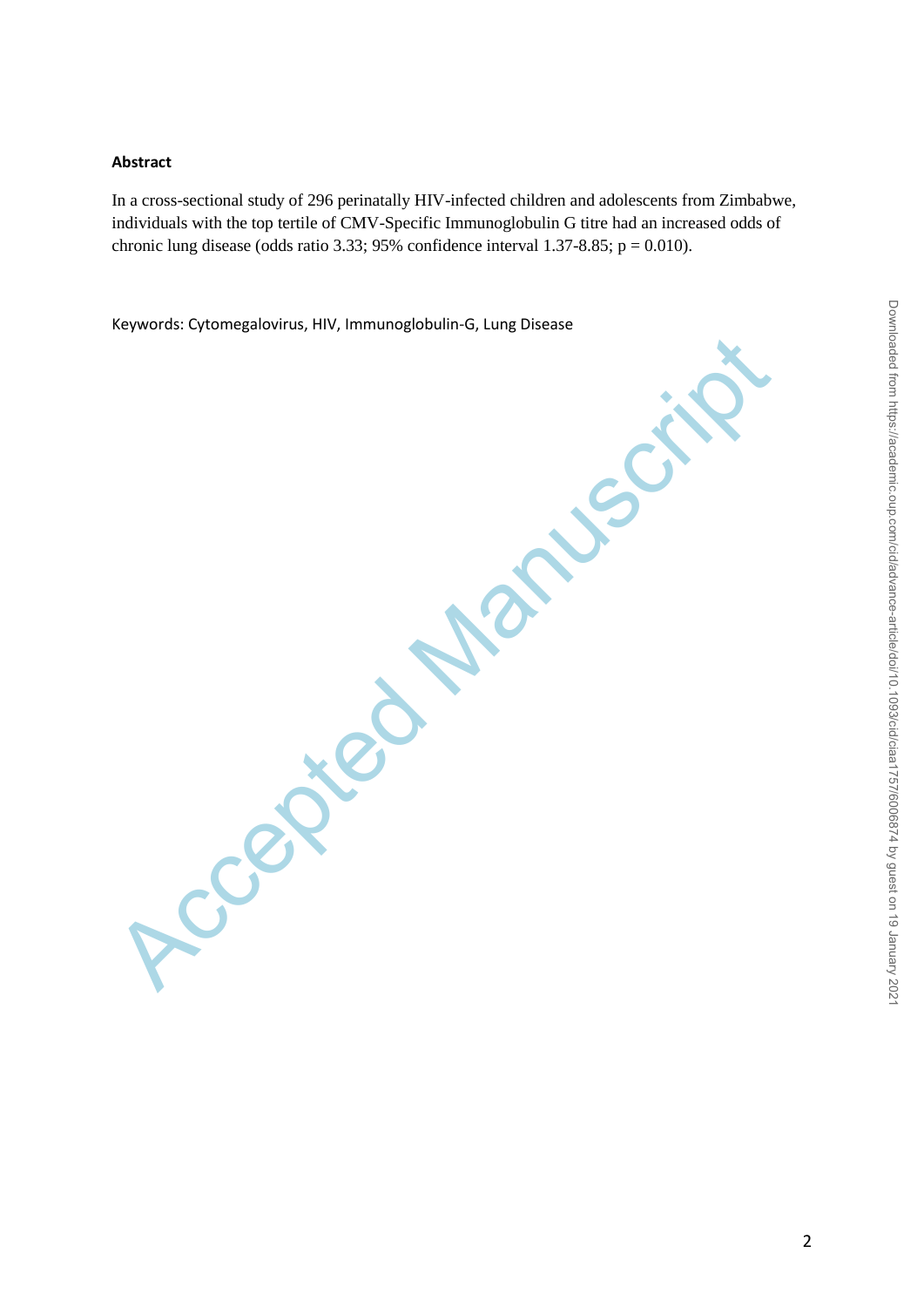## **Abstract**

In a cross-sectional study of 296 perinatally HIV-infected children and adolescents from Zimbabwe, individuals with the top tertile of CMV-Specific Immunoglobulin G titre had an increased odds of chronic lung disease (odds ratio 3.33; 95% confidence interval 1.37-8.85;  $p = 0.010$ ).

Keywords: Cytomegalovirus, HIV, Immunoglobulin-G, Lung Disease

Accepted Manuscript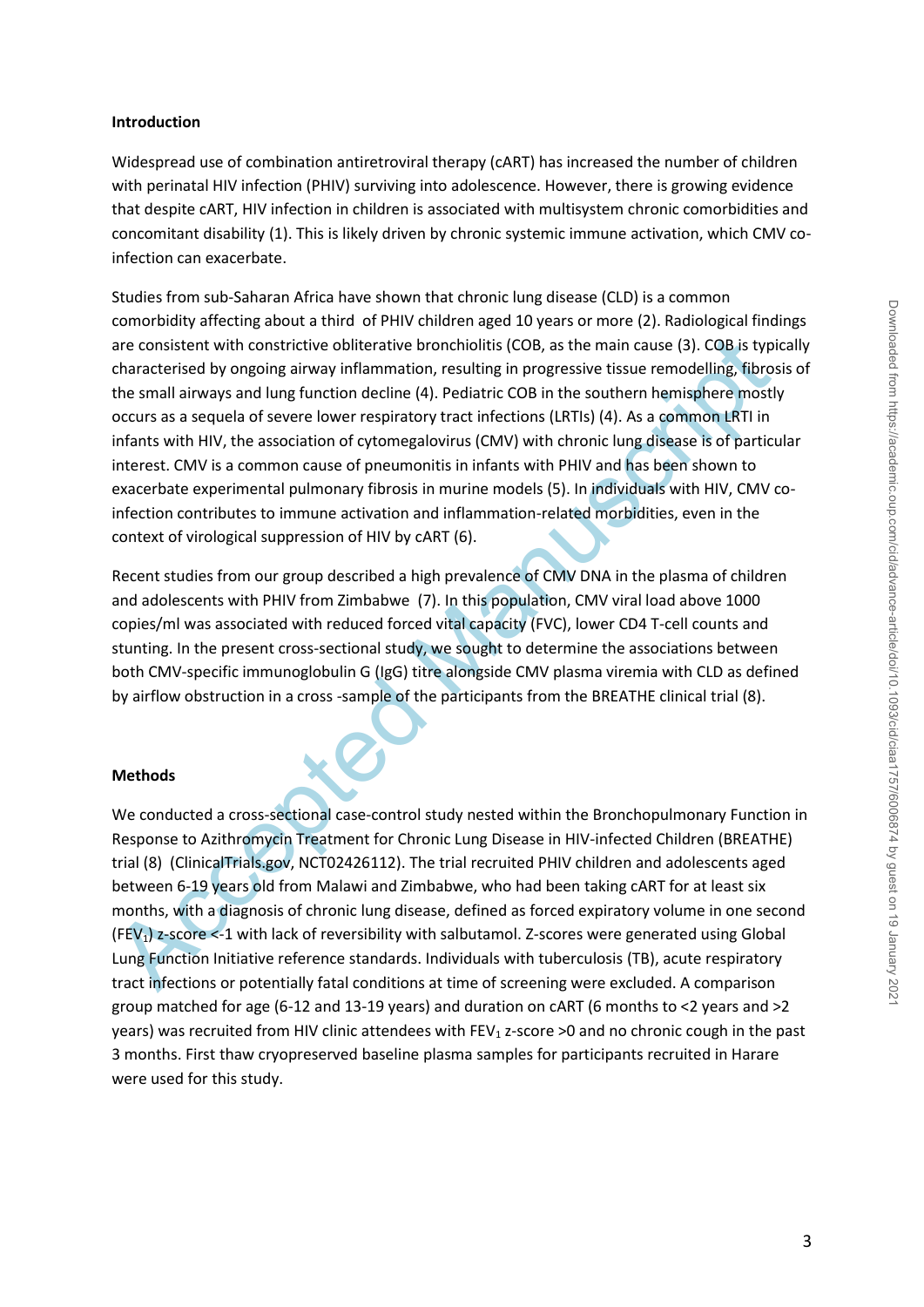## **Introduction**

Widespread use of combination antiretroviral therapy (cART) has increased the number of children with perinatal HIV infection (PHIV) surviving into adolescence. However, there is growing evidence that despite cART, HIV infection in children is associated with multisystem chronic comorbidities and concomitant disability (1). This is likely driven by chronic systemic immune activation, which CMV coinfection can exacerbate.

are consistent with constrictive obliterative bronchiolitis (COB, as the main cause (3). COB.is typitary<br>characterised by ongoing airway inflammation, resulting in progressive tissue remodelling, libros<br>the small airways a Studies from sub-Saharan Africa have shown that chronic lung disease (CLD) is a common comorbidity affecting about a third of PHIV children aged 10 years or more (2). Radiological findings are consistent with constrictive obliterative bronchiolitis (COB, as the main cause (3). COB is typically characterised by ongoing airway inflammation, resulting in progressive tissue remodelling, fibrosis of the small airways and lung function decline (4). Pediatric COB in the southern hemisphere mostly occurs as a sequela of severe lower respiratory tract infections (LRTIs) (4). As a common LRTI in infants with HIV, the association of cytomegalovirus (CMV) with chronic lung disease is of particular interest. CMV is a common cause of pneumonitis in infants with PHIV and has been shown to exacerbate experimental pulmonary fibrosis in murine models (5). In individuals with HIV, CMV coinfection contributes to immune activation and inflammation-related morbidities, even in the context of virological suppression of HIV by cART (6).

Recent studies from our group described a high prevalence of CMV DNA in the plasma of children and adolescents with PHIV from Zimbabwe (7). In this population, CMV viral load above 1000 copies/ml was associated with reduced forced vital capacity (FVC), lower CD4 T-cell counts and stunting. In the present cross-sectional study, we sought to determine the associations between both CMV-specific immunoglobulin G (IgG) titre alongside CMV plasma viremia with CLD as defined by airflow obstruction in a cross -sample of the participants from the BREATHE clinical trial (8).

## **Methods**

We conducted a cross-sectional case-control study nested within the Bronchopulmonary Function in Response to Azithromycin Treatment for Chronic Lung Disease in HIV-infected Children (BREATHE) trial (8) (ClinicalTrials.gov, NCT02426112). The trial recruited PHIV children and adolescents aged between 6-19 years old from Malawi and Zimbabwe, who had been taking cART for at least six months, with a diagnosis of chronic lung disease, defined as forced expiratory volume in one second  $(FEV<sub>1</sub>)$  z-score <-1 with lack of reversibility with salbutamol. Z-scores were generated using Global Lung Function Initiative reference standards. Individuals with tuberculosis (TB), acute respiratory tract infections or potentially fatal conditions at time of screening were excluded. A comparison group matched for age (6-12 and 13-19 years) and duration on cART (6 months to <2 years and >2 years) was recruited from HIV clinic attendees with FEV<sub>1</sub> z-score >0 and no chronic cough in the past 3 months. First thaw cryopreserved baseline plasma samples for participants recruited in Harare were used for this study.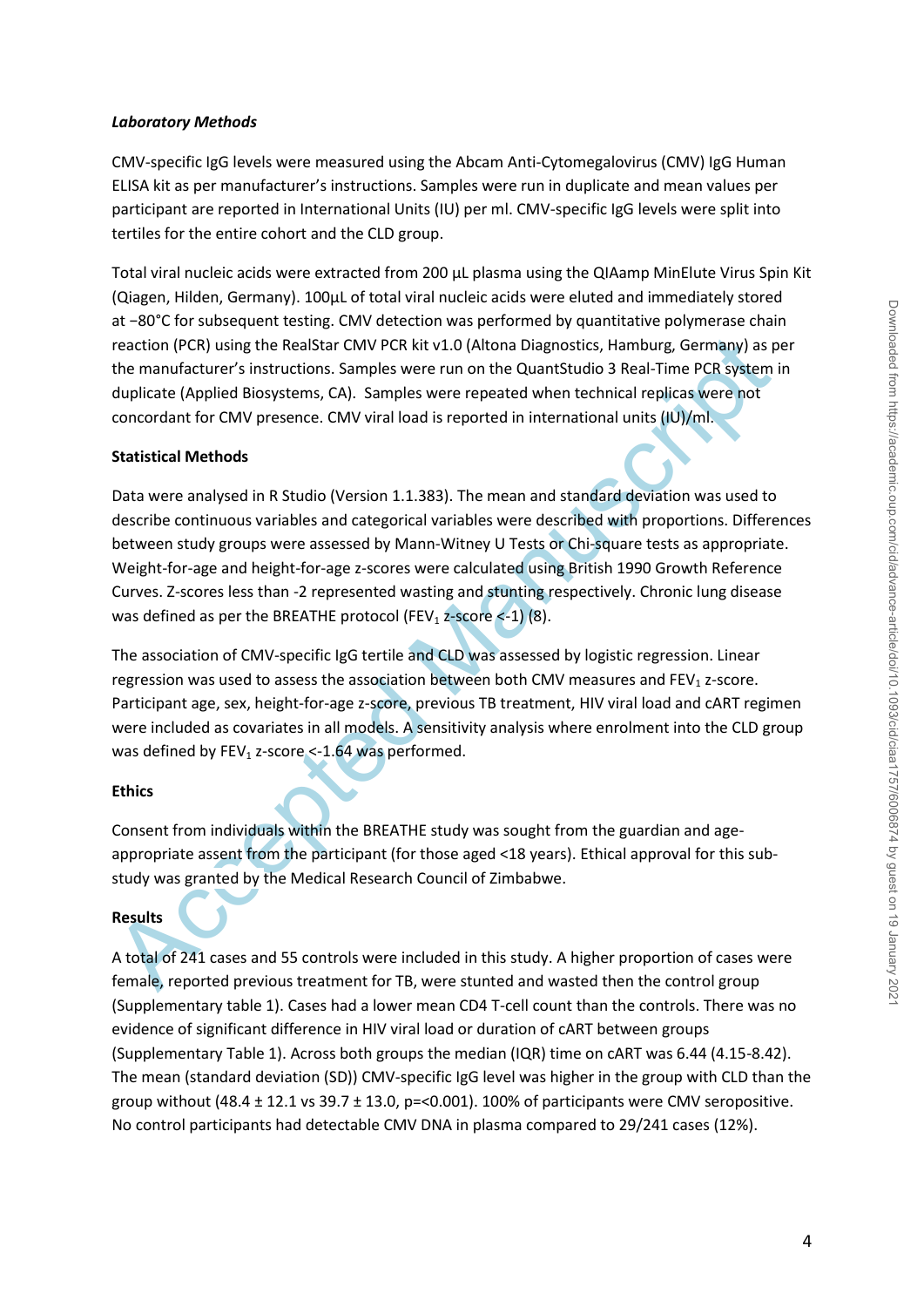## *Laboratory Methods*

CMV-specific IgG levels were measured using the Abcam Anti-Cytomegalovirus (CMV) IgG Human ELISA kit as per manufacturer's instructions. Samples were run in duplicate and mean values per participant are reported in International Units (IU) per ml. CMV-specific IgG levels were split into tertiles for the entire cohort and the CLD group.

Total viral nucleic acids were extracted from 200 µL plasma using the QIAamp MinElute Virus Spin Kit (Qiagen, Hilden, Germany). 100µL of total viral nucleic acids were eluted and immediately stored at −80°C for subsequent testing. CMV detection was performed by quantitative polymerase chain reaction (PCR) using the RealStar CMV PCR kit v1.0 (Altona Diagnostics, Hamburg, Germany) as per the manufacturer's instructions. Samples were run on the QuantStudio 3 Real-Time PCR system in duplicate (Applied Biosystems, CA). Samples were repeated when technical replicas were not concordant for CMV presence. CMV viral load is reported in international units (IU)/ml.

## **Statistical Methods**

reaction (PCR) using the RealStar CMV PCR kit v.1.0 (Altona Diagnostics, Hamburg, Germany) as preducture is instructions. Samples were run on the QuantiStudio 3 Real-Time PCR system by duplicate (Applied Biosystems, CA). Data were analysed in R Studio (Version 1.1.383). The mean and standard deviation was used to describe continuous variables and categorical variables were described with proportions. Differences between study groups were assessed by Mann-Witney U Tests or Chi-square tests as appropriate. Weight-for-age and height-for-age z-scores were calculated using British 1990 Growth Reference Curves. Z-scores less than -2 represented wasting and stunting respectively. Chronic lung disease was defined as per the BREATHE protocol (FEV<sub>1</sub> z-score  $\leq$ -1) (8).

The association of CMV-specific IgG tertile and CLD was assessed by logistic regression. Linear regression was used to assess the association between both CMV measures and FEV<sub>1</sub> z-score. Participant age, sex, height-for-age z-score, previous TB treatment, HIV viral load and cART regimen were included as covariates in all models. A sensitivity analysis where enrolment into the CLD group was defined by  $FEV_1$  z-score <-1.64 was performed.

## **Ethics**

Consent from individuals within the BREATHE study was sought from the guardian and ageappropriate assent from the participant (for those aged <18 years). Ethical approval for this substudy was granted by the Medical Research Council of Zimbabwe.

## **Results**

A total of 241 cases and 55 controls were included in this study. A higher proportion of cases were female, reported previous treatment for TB, were stunted and wasted then the control group (Supplementary table 1). Cases had a lower mean CD4 T-cell count than the controls. There was no evidence of significant difference in HIV viral load or duration of cART between groups (Supplementary Table 1). Across both groups the median (IQR) time on cART was 6.44 (4.15-8.42). The mean (standard deviation (SD)) CMV-specific IgG level was higher in the group with CLD than the group without  $(48.4 \pm 12.1 \text{ vs } 39.7 \pm 13.0, \text{ p} = 0.001)$ . 100% of participants were CMV seropositive. No control participants had detectable CMV DNA in plasma compared to 29/241 cases (12%).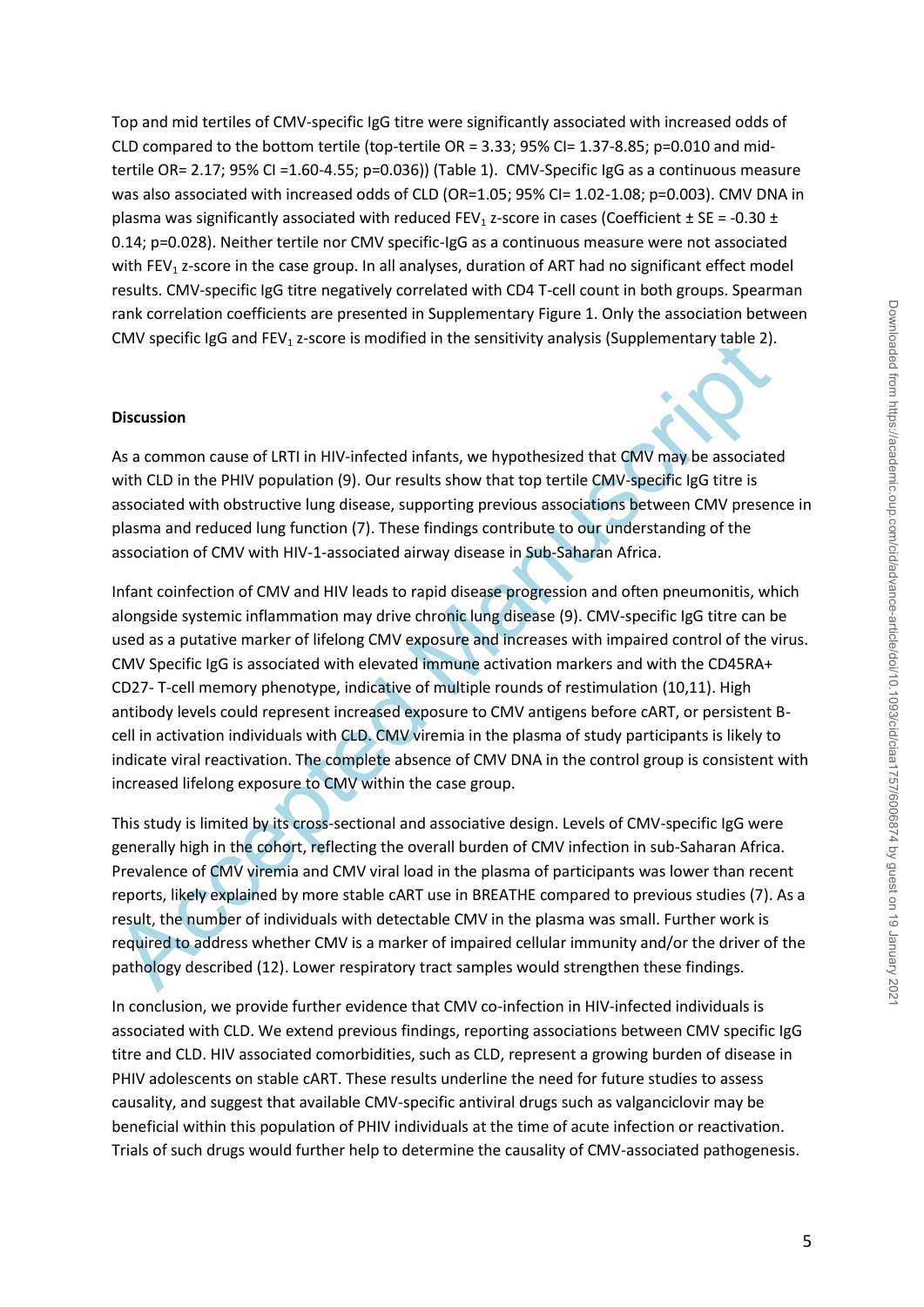Top and mid tertiles of CMV-specific IgG titre were significantly associated with increased odds of CLD compared to the bottom tertile (top-tertile OR = 3.33; 95% CI= 1.37-8.85; p=0.010 and midtertile OR= 2.17; 95% CI =1.60-4.55; p=0.036)) (Table 1). CMV-Specific IgG as a continuous measure was also associated with increased odds of CLD (OR=1.05; 95% CI= 1.02-1.08; p=0.003). CMV DNA in plasma was significantly associated with reduced FEV<sub>1</sub> z-score in cases (Coefficient  $\pm$  SE = -0.30  $\pm$ 0.14; p=0.028). Neither tertile nor CMV specific-IgG as a continuous measure were not associated with FEV<sub>1</sub> z-score in the case group. In all analyses, duration of ART had no significant effect model results. CMV-specific IgG titre negatively correlated with CD4 T-cell count in both groups. Spearman rank correlation coefficients are presented in Supplementary Figure 1. Only the association between CMV specific IgG and FEV<sub>1</sub> z-score is modified in the sensitivity analysis (Supplementary table 2).

#### **Discussion**

As a common cause of LRTI in HIV-infected infants, we hypothesized that CMV may be associated with CLD in the PHIV population (9). Our results show that top tertile CMV-specific IgG titre is associated with obstructive lung disease, supporting previous associations between CMV presence in plasma and reduced lung function (7). These findings contribute to our understanding of the association of CMV with HIV-1-associated airway disease in Sub-Saharan Africa.

CMV specific IgG and FEV<sub>2</sub> z-score is modified in the sensitivity analysis (Supplementary table 2).<br>
Discussion<br>
As a common cause of LRTI in HIV-infected infants, we hypothesized that CMV may be associate<br>
with CLD in th Infant coinfection of CMV and HIV leads to rapid disease progression and often pneumonitis, which alongside systemic inflammation may drive chronic lung disease (9). CMV-specific IgG titre can be used as a putative marker of lifelong CMV exposure and increases with impaired control of the virus. CMV Specific IgG is associated with elevated immune activation markers and with the CD45RA+ CD27- T-cell memory phenotype, indicative of multiple rounds of restimulation (10,11). High antibody levels could represent increased exposure to CMV antigens before cART, or persistent Bcell in activation individuals with CLD. CMV viremia in the plasma of study participants is likely to indicate viral reactivation. The complete absence of CMV DNA in the control group is consistent with increased lifelong exposure to CMV within the case group.

This study is limited by its cross-sectional and associative design. Levels of CMV-specific IgG were generally high in the cohort, reflecting the overall burden of CMV infection in sub-Saharan Africa. Prevalence of CMV viremia and CMV viral load in the plasma of participants was lower than recent reports, likely explained by more stable cART use in BREATHE compared to previous studies (7). As a result, the number of individuals with detectable CMV in the plasma was small. Further work is required to address whether CMV is a marker of impaired cellular immunity and/or the driver of the pathology described (12). Lower respiratory tract samples would strengthen these findings.

In conclusion, we provide further evidence that CMV co-infection in HIV-infected individuals is associated with CLD. We extend previous findings, reporting associations between CMV specific IgG titre and CLD. HIV associated comorbidities, such as CLD, represent a growing burden of disease in PHIV adolescents on stable cART. These results underline the need for future studies to assess causality, and suggest that available CMV-specific antiviral drugs such as valganciclovir may be beneficial within this population of PHIV individuals at the time of acute infection or reactivation. Trials of such drugs would further help to determine the causality of CMV-associated pathogenesis.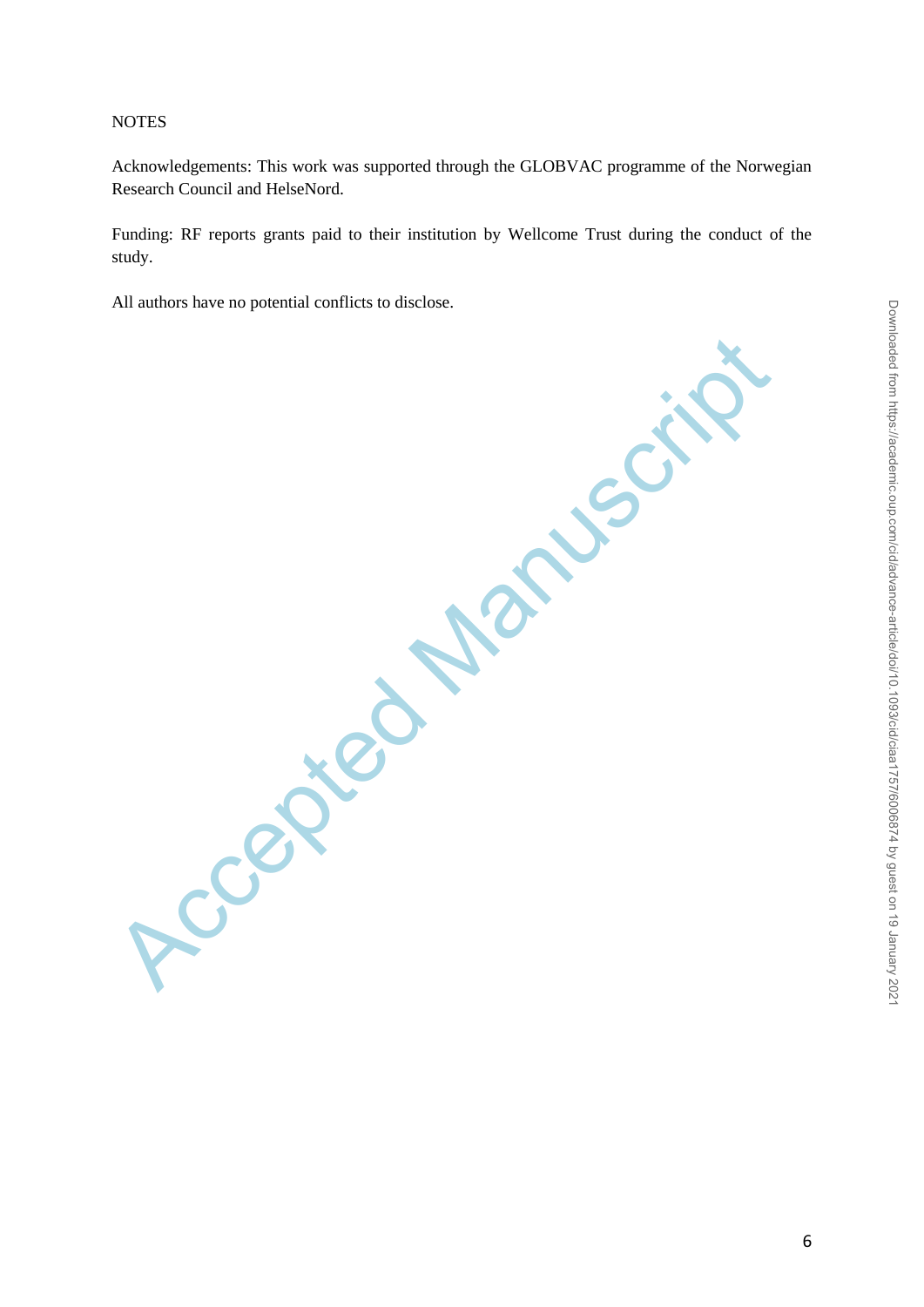## **NOTES**

Acknowledgements: This work was supported through the GLOBVAC programme of the Norwegian Research Council and HelseNord.

Funding: RF reports grants paid to their institution by Wellcome Trust during the conduct of the study.

All authors have no potential conflicts to disclose.

Accepted Manuscript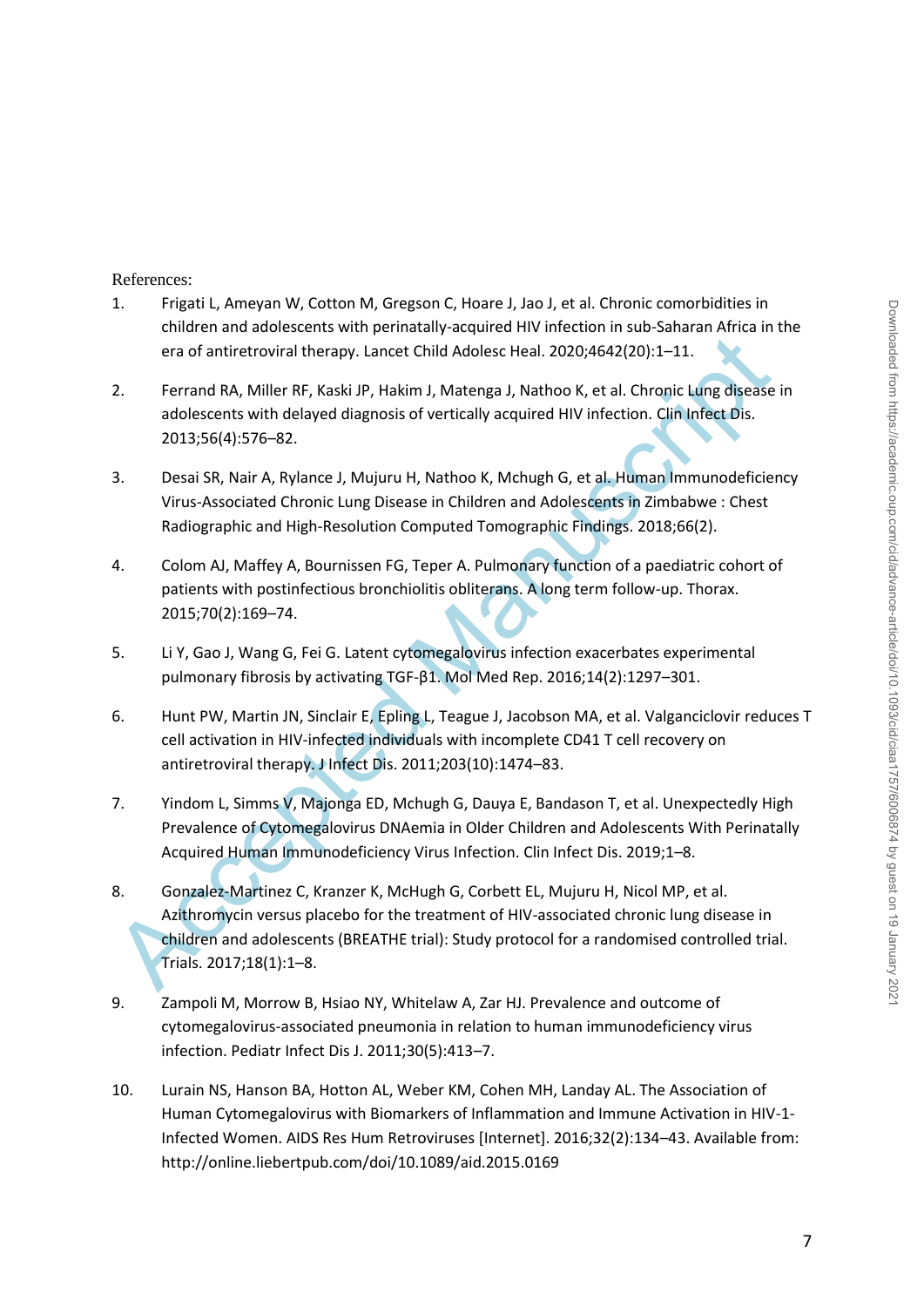## References:

- 1. Frigati L, Ameyan W, Cotton M, Gregson C, Hoare J, Jao J, et al. Chronic comorbidities in children and adolescents with perinatally-acquired HIV infection in sub-Saharan Africa in the era of antiretroviral therapy. Lancet Child Adolesc Heal. 2020;4642(20):1–11.
- 2. Ferrand RA, Miller RF, Kaski JP, Hakim J, Matenga J, Nathoo K, et al. Chronic Lung disease in adolescents with delayed diagnosis of vertically acquired HIV infection. Clin Infect Dis. 2013;56(4):576–82.
- 3. Desai SR, Nair A, Rylance J, Mujuru H, Nathoo K, Mchugh G, et al. Human Immunodeficiency Virus-Associated Chronic Lung Disease in Children and Adolescents in Zimbabwe : Chest Radiographic and High-Resolution Computed Tomographic Findings. 2018;66(2).
- 4. Colom AJ, Maffey A, Bournissen FG, Teper A. Pulmonary function of a paediatric cohort of patients with postinfectious bronchiolitis obliterans. A long term follow-up. Thorax. 2015;70(2):169–74.
- 5. Li Y, Gao J, Wang G, Fei G. Latent cytomegalovirus infection exacerbates experimental pulmonary fibrosis by activating TGF-β1. Mol Med Rep. 2016;14(2):1297–301.
- 6. Hunt PW, Martin JN, Sinclair E, Epling L, Teague J, Jacobson MA, et al. Valganciclovir reduces T cell activation in HIV-infected individuals with incomplete CD41 T cell recovery on antiretroviral therapy. J Infect Dis. 2011;203(10):1474–83.
- 7. Yindom L, Simms V, Majonga ED, Mchugh G, Dauya E, Bandason T, et al. Unexpectedly High Prevalence of Cytomegalovirus DNAemia in Older Children and Adolescents With Perinatally Acquired Human Immunodeficiency Virus Infection. Clin Infect Dis. 2019;1–8.
- era of antiretroviral therapy. Lancet Child Adolesc Heal. 2020;4642(20):1-11.<br>
2. Ferrand RA, Miller RF, Kaski JP, Hakim J, Matenga J, Nathoo K, et al. Chronic Lung disease<br>
adolescents with delayed diagnosis of vertically 8. Gonzalez-Martinez C, Kranzer K, McHugh G, Corbett EL, Mujuru H, Nicol MP, et al. Azithromycin versus placebo for the treatment of HIV-associated chronic lung disease in children and adolescents (BREATHE trial): Study protocol for a randomised controlled trial. Trials. 2017;18(1):1–8.
- 9. Zampoli M, Morrow B, Hsiao NY, Whitelaw A, Zar HJ. Prevalence and outcome of cytomegalovirus-associated pneumonia in relation to human immunodeficiency virus infection. Pediatr Infect Dis J. 2011;30(5):413–7.
- 10. Lurain NS, Hanson BA, Hotton AL, Weber KM, Cohen MH, Landay AL. The Association of Human Cytomegalovirus with Biomarkers of Inflammation and Immune Activation in HIV-1- Infected Women. AIDS Res Hum Retroviruses [Internet]. 2016;32(2):134–43. Available from: http://online.liebertpub.com/doi/10.1089/aid.2015.0169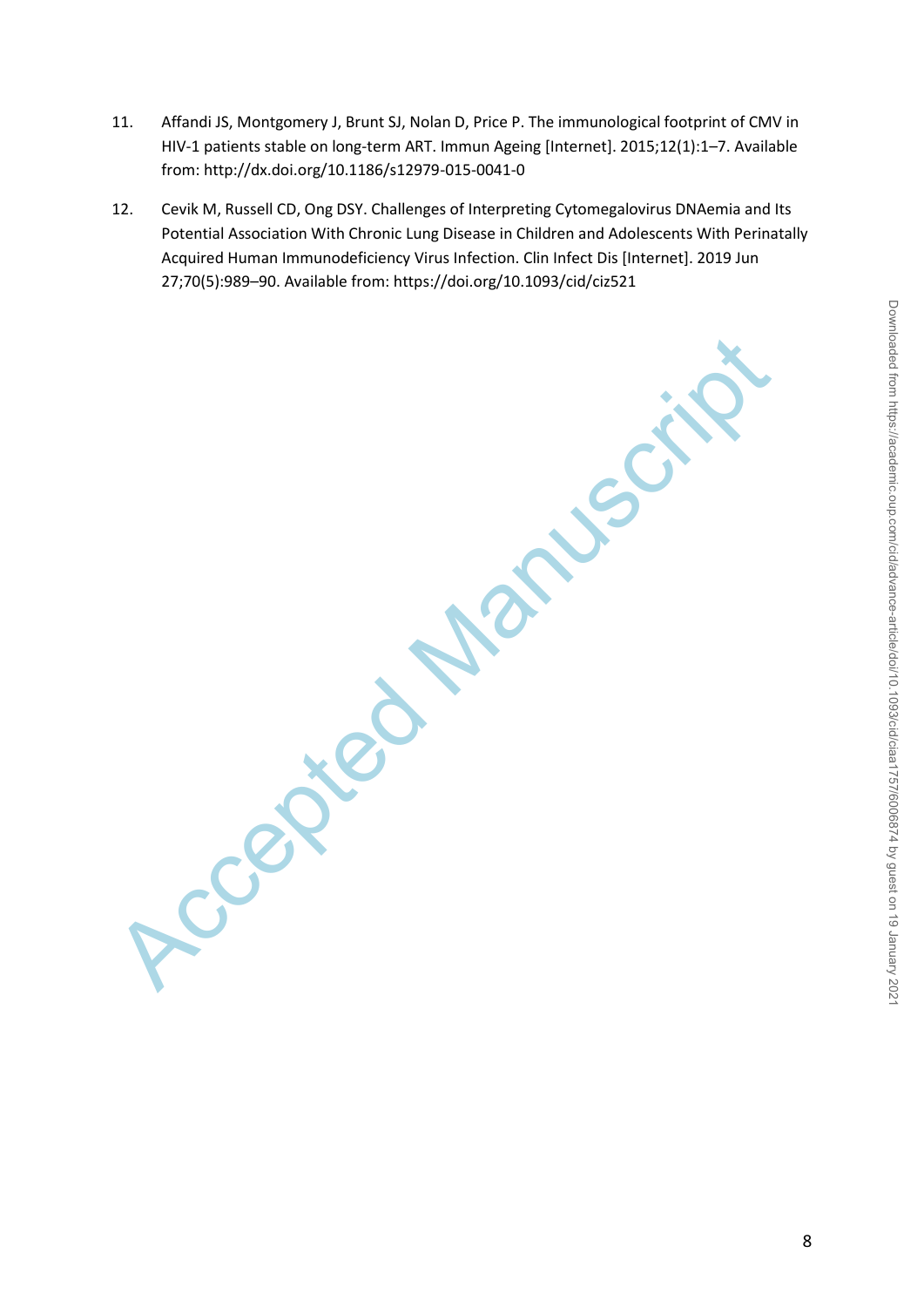- 11. Affandi JS, Montgomery J, Brunt SJ, Nolan D, Price P. The immunological footprint of CMV in HIV-1 patients stable on long-term ART. Immun Ageing [Internet]. 2015;12(1):1–7. Available from: http://dx.doi.org/10.1186/s12979-015-0041-0
- 12. Cevik M, Russell CD, Ong DSY. Challenges of Interpreting Cytomegalovirus DNAemia and Its Potential Association With Chronic Lung Disease in Children and Adolescents With Perinatally Acquired Human Immunodeficiency Virus Infection. Clin Infect Dis [Internet]. 2019 Jun 27;70(5):989–90. Available from: https://doi.org/10.1093/cid/ciz521

Ccepted Manuscript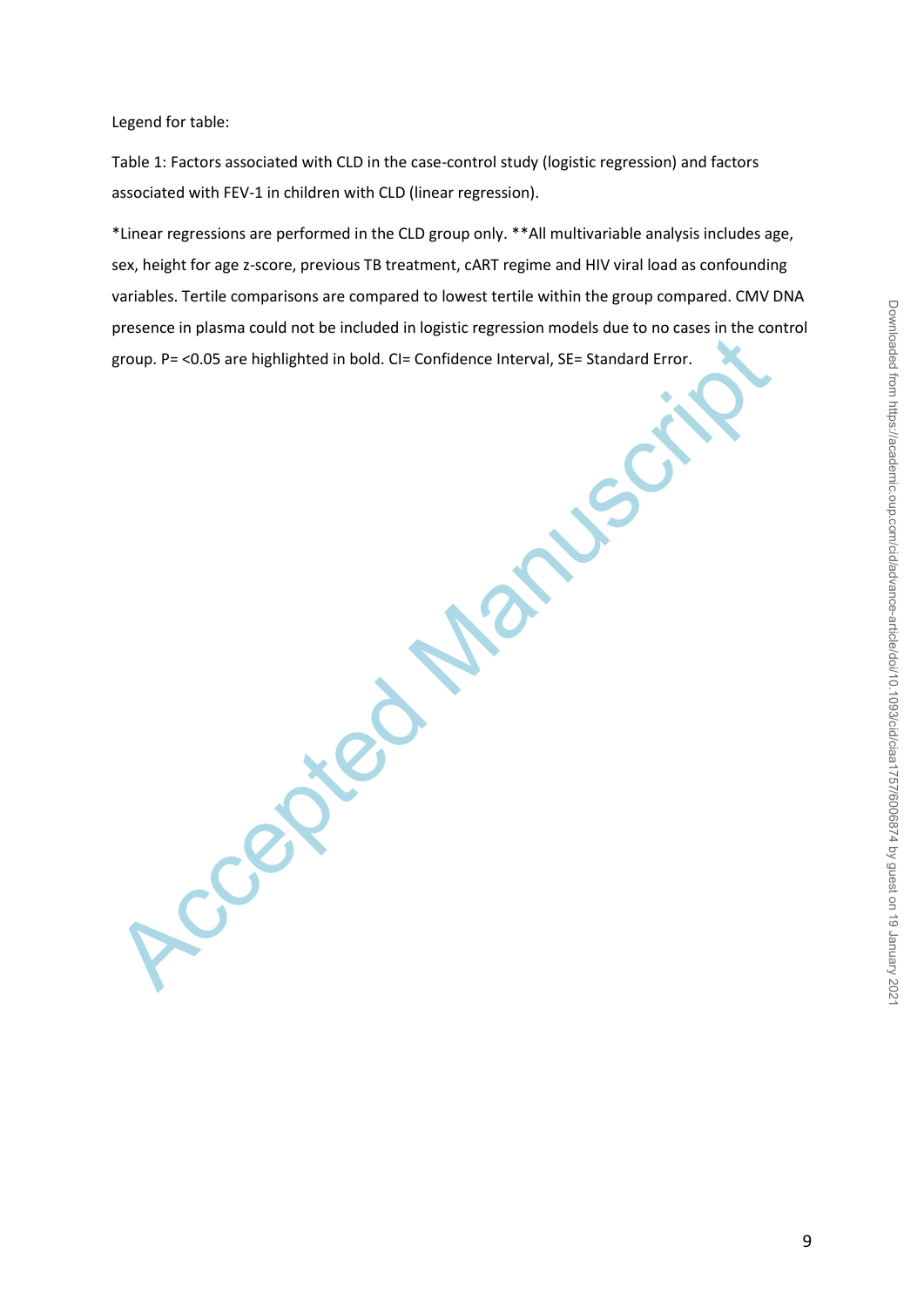Legend for table:

Table 1: Factors associated with CLD in the case-control study (logistic regression) and factors associated with FEV-1 in children with CLD (linear regression).

Froup. P=<0.05 are highlighted in bold. Cl= Confidence Interval, SE= Standard Error. \*Linear regressions are performed in the CLD group only. \*\*All multivariable analysis includes age, sex, height for age z-score, previous TB treatment, cART regime and HIV viral load as confounding variables. Tertile comparisons are compared to lowest tertile within the group compared. CMV DNA presence in plasma could not be included in logistic regression models due to no cases in the control group. P= <0.05 are highlighted in bold. CI= Confidence Interval, SE= Standard Error.